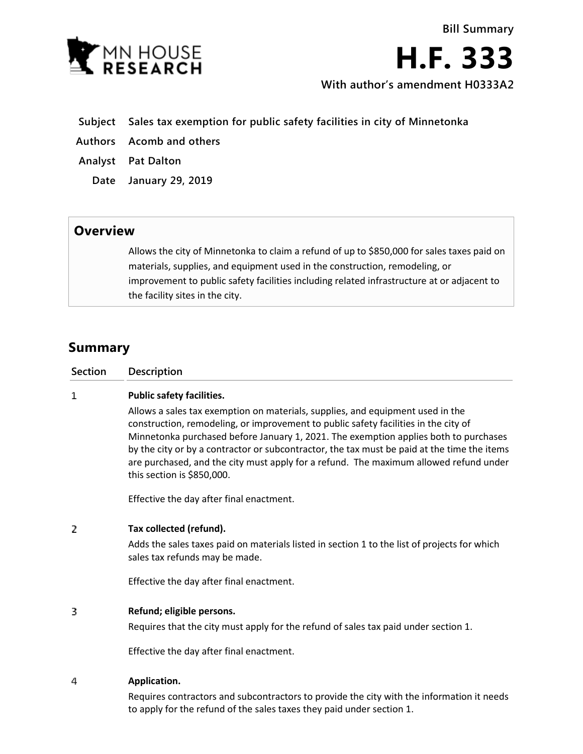

**H.F. 333 With author's amendment H0333A2**

- **Subject Sales tax exemption for public safety facilities in city of Minnetonka**
- **Authors Acomb and others**
- **Analyst Pat Dalton**
	- **Date January 29, 2019**

## **Overview**

Allows the city of Minnetonka to claim a refund of up to \$850,000 for sales taxes paid on materials, supplies, and equipment used in the construction, remodeling, or improvement to public safety facilities including related infrastructure at or adjacent to the facility sites in the city.

# **Summary**

| Section | <b>Description</b> |
|---------|--------------------|
|         |                    |

#### $\mathbf{1}$ **Public safety facilities.**

Allows a sales tax exemption on materials, supplies, and equipment used in the construction, remodeling, or improvement to public safety facilities in the city of Minnetonka purchased before January 1, 2021. The exemption applies both to purchases by the city or by a contractor or subcontractor, the tax must be paid at the time the items are purchased, and the city must apply for a refund. The maximum allowed refund under this section is \$850,000.

Effective the day after final enactment.

#### 2 **Tax collected (refund).**

Adds the sales taxes paid on materials listed in section 1 to the list of projects for which sales tax refunds may be made.

Effective the day after final enactment.

#### 3 **Refund; eligible persons.**

Requires that the city must apply for the refund of sales tax paid under section 1.

Effective the day after final enactment.

#### 4 **Application.**

Requires contractors and subcontractors to provide the city with the information it needs to apply for the refund of the sales taxes they paid under section 1.